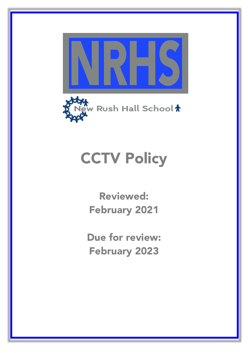



# **CCTV Policy**

Reviewed: February 2021

Due for review: February 2023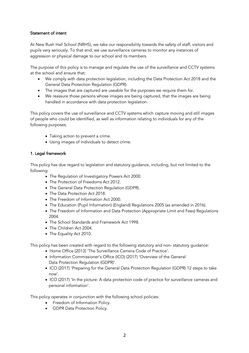### Statement of intent

At New Rush Hall School (NRHS), we take our responsibility towards the safety of staff, visitors and pupils very seriously. To that end, we use surveillance cameras to monitor any instances of aggression or physical damage to our school and its members.

The purpose of this policy is to manage and regulate the use of the surveillance and CCTV systems at the school and ensure that:

- We comply with data protection legislation, including the Data Protection Act 2018 and the General Data Protection Regulation (GDPR).
- The images that are captured are useable for the purposes we require them for.
- We reassure those persons whose images are being captured, that the images are being handled in accordance with data protection legislation.

This policy covers the use of surveillance and CCTV systems which capture moving and still images of people who could be identified, as well as information relating to individuals for any of the following purposes:

- Taking action to prevent a crime.
- Using images of individuals to detect crime.

#### 1. Legal framework

This policy has due regard to legislation and statutory guidance, including, but not limited to the following:

- The Regulation of Investigatory Powers Act 2000.
- The Protection of Freedoms Act 2012.
- The General Data Protection Regulation (GDPR).
- The Data Protection Act 2018.
- The Freedom of Information Act 2000.
- The Education (Pupil Information) (England) Regulations 2005 (as amended in 2016).
- The Freedom of Information and Data Protection (Appropriate Limit and Fees) Regulations 2004.
- The School Standards and Framework Act 1998.
- The Children Act 2004.
- The Equality Act 2010.

This policy has been created with regard to the following statutory and non- statutory guidance:

- Home Office (2013) 'The Surveillance Camera Code of Practice'.
- Information Commissioner's Office (ICO) (2017) 'Overview of the General Data Protection Regulation (GDPR)'.
- ICO (2017) 'Preparing for the General Data Protection Regulation (GDPR) 12 steps to take now'.
- ICO (2017) 'In the picture: A data protection code of practice for surveillance cameras and personal information'.

This policy operates in conjunction with the following school policies:

- Freedom of Information Policy.
- GDPR Data Protection Policy.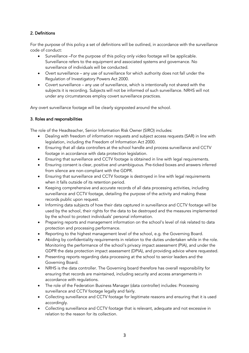## 2. Definitions

For the purpose of this policy a set of definitions will be outlined, in accordance with the surveillance code of conduct:

- Surveillance –For the purpose of this policy only video footage will be applicable. Surveillance refers to the equipment and associated systems and governance. No surveillance of individuals will be conducted.
- Overt surveillance any use of surveillance for which authority does not fall under the Regulation of Investigatory Powers Act 2000.
- Covert surveillance any use of surveillance, which is intentionally not shared with the subjects it is recording. Subjects will not be informed of such surveillance. NRHS will not under any circumstances employ covert surveillance practices.

Any overt surveillance footage will be clearly signposted around the school.

## 3. Roles and responsibilities

The role of the Headteacher, Senior Information Risk Owner (SIRO) includes:

- Dealing with freedom of information requests and subject access requests (SAR) in line with legislation, including the Freedom of Information Act 2000.
- Ensuring that all data controllers at the school handle and process surveillance and CCTV footage in accordance with data protection legislation.
- Ensuring that surveillance and CCTV footage is obtained in line with legal requirements.
- Ensuring consent is clear, positive and unambiguous. Pre-ticked boxes and answers inferred from silence are non-compliant with the GDPR.
- Ensuring that surveillance and CCTV footage is destroyed in line with legal requirements when it falls outside of its retention period.
- Keeping comprehensive and accurate records of all data processing activities, including surveillance and CCTV footage, detailing the purpose of the activity and making these records public upon request.
- Informing data subjects of how their data captured in surveillance and CCTV footage will be used by the school, their rights for the data to be destroyed and the measures implemented by the school to protect individuals' personal information.
- Preparing reports and management information on the school's level of risk related to data protection and processing performance.
- Reporting to the highest management level of the school, e.g. the Governing Board.
- Abiding by confidentiality requirements in relation to the duties undertaken while in the role. Monitoring the performance of the school's privacy impact assessment (PIA), and under the GDPR the data protection impact assessment (DPIA), and providing advice where requested.
- Presenting reports regarding data processing at the school to senior leaders and the Governing Board.
- NRHS is the data controller. The Governing board therefore has overall responsibility for ensuring that records are maintained, including security and access arrangements in accordance with regulations.
- The role of the Federation Business Manager (data controller) includes: Processing surveillance and CCTV footage legally and fairly.
- Collecting surveillance and CCTV footage for legitimate reasons and ensuring that it is used accordingly.
- Collecting surveillance and CCTV footage that is relevant, adequate and not excessive in relation to the reason for its collection.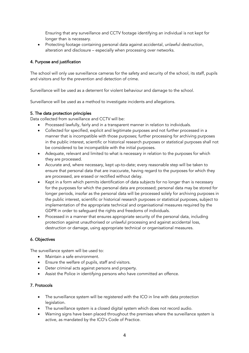Ensuring that any surveillance and CCTV footage identifying an individual is not kept for longer than is necessary.

• Protecting footage containing personal data against accidental, unlawful destruction, alteration and disclosure – especially when processing over networks.

## 4. Purpose and justification

The school will only use surveillance cameras for the safety and security of the school, its staff, pupils and visitors and for the prevention and detection of crime.

Surveillance will be used as a deterrent for violent behaviour and damage to the school.

Surveillance will be used as a method to investigate incidents and allegations.

### 5. The data protection principles

Data collected from surveillance and CCTV will be:

- Processed lawfully, fairly and in a transparent manner in relation to individuals.
- Collected for specified, explicit and legitimate purposes and not further processed in a manner that is incompatible with those purposes; further processing for archiving purposes in the public interest, scientific or historical research purposes or statistical purposes shall not be considered to be incompatible with the initial purposes.
- Adequate, relevant and limited to what is necessary in relation to the purposes for which they are processed.
- Accurate and, where necessary, kept up-to-date; every reasonable step will be taken to ensure that personal data that are inaccurate, having regard to the purposes for which they are processed, are erased or rectified without delay.
- Kept in a form which permits identification of data subjects for no longer than is necessary for the purposes for which the personal data are processed; personal data may be stored for longer periods, insofar as the personal data will be processed solely for archiving purposes in the public interest, scientific or historical research purposes or statistical purposes, subject to implementation of the appropriate technical and organisational measures required by the GDPR in order to safeguard the rights and freedoms of individuals.
- Processed in a manner that ensures appropriate security of the personal data, including protection against unauthorised or unlawful processing and against accidental loss, destruction or damage, using appropriate technical or organisational measures.

### 6. Objectives

The surveillance system will be used to:

- Maintain a safe environment.
- Ensure the welfare of pupils, staff and visitors.
- Deter criminal acts against persons and property.
- Assist the Police in identifying persons who have committed an offence.

### 7. Protocols

- The surveillance system will be registered with the ICO in line with data protection legislation.
- The surveillance system is a closed digital system which does not record audio.
- Warning signs have been placed throughout the premises where the surveillance system is active, as mandated by the ICO's Code of Practice.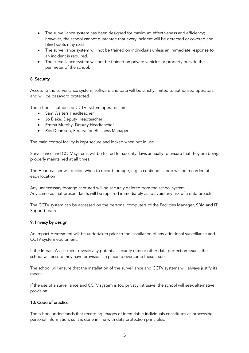- The surveillance system has been designed for maximum effectiveness and efficiency; however, the school cannot guarantee that every incident will be detected or covered and blind spots may exist.
- The surveillance system will not be trained on individuals unless an immediate response to an incident is required.
- The surveillance system will not be trained on private vehicles or property outside the perimeter of the school.

### 8. Security

Access to the surveillance system, software and data will be strictly limited to authorised operators and will be password protected.

The school's authorised CCTV system operators are:

- Sam Walters Headteacher
- Jo Blake, Deputy Headteacher
- Emma Murphy, Deputy Headteacher
- Ros Dennison, Federation Business Manager

The main control facility is kept secure and locked when not in use.

Surveillance and CCTV systems will be tested for security flaws annually to ensure that they are being properly maintained at all times.

The Headteacher will decide when to record footage, e.g. a continuous loop will be recorded at each location

Any unnecessary footage captured will be securely deleted from the school system. Any cameras that present faults will be repaired immediately as to avoid any risk of a data breach.

The CCTV system can be accessed on the personal computers of the Facilities Manager, SBM and IT Support team

### 9. Privacy by design

An Impact Assessment will be undertaken prior to the installation of any additional surveillance and CCTV system equipment.

If the Impact Assessment reveals any potential security risks or other data protection issues, the school will ensure they have provisions in place to overcome these issues.

The school will ensure that the installation of the surveillance and CCTV systems will always justify its means.

If the use of a surveillance and CCTV system is too privacy intrusive, the school will seek alternative provision.

### 10. Code of practice

The school understands that recording images of identifiable individuals constitutes as processing personal information, so it is done in line with data protection principles.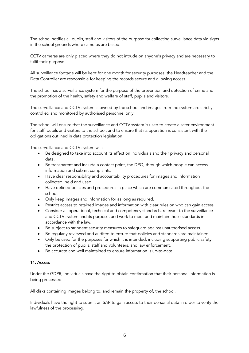The school notifies all pupils, staff and visitors of the purpose for collecting surveillance data via signs in the school grounds where cameras are based.

CCTV cameras are only placed where they do not intrude on anyone's privacy and are necessary to fulfil their purpose.

All surveillance footage will be kept for one month for security purposes; the Headteacher and the Data Controller are responsible for keeping the records secure and allowing access.

The school has a surveillance system for the purpose of the prevention and detection of crime and the promotion of the health, safety and welfare of staff, pupils and visitors.

The surveillance and CCTV system is owned by the school and images from the system are strictly controlled and monitored by authorised personnel only.

The school will ensure that the surveillance and CCTV system is used to create a safer environment for staff, pupils and visitors to the school, and to ensure that its operation is consistent with the obligations outlined in data protection legislation.

The surveillance and CCTV system will:

- Be designed to take into account its effect on individuals and their privacy and personal data.
- Be transparent and include a contact point, the DPO, through which people can access information and submit complaints.
- Have clear responsibility and accountability procedures for images and information collected, held and used.
- Have defined policies and procedures in place which are communicated throughout the school.
- Only keep images and information for as long as required.
- Restrict access to retained images and information with clear rules on who can gain access.
- Consider all operational, technical and competency standards, relevant to the surveillance and CCTV system and its purpose, and work to meet and maintain those standards in accordance with the law.
- Be subject to stringent security measures to safeguard against unauthorised access.
- Be regularly reviewed and audited to ensure that policies and standards are maintained.
- Only be used for the purposes for which it is intended, including supporting public safety, the protection of pupils, staff and volunteers, and law enforcement.
- Be accurate and well maintained to ensure information is up-to-date.

#### 11. Access

Under the GDPR, individuals have the right to obtain confirmation that their personal information is being processed.

All disks containing images belong to, and remain the property of, the school.

Individuals have the right to submit an SAR to gain access to their personal data in order to verify the lawfulness of the processing.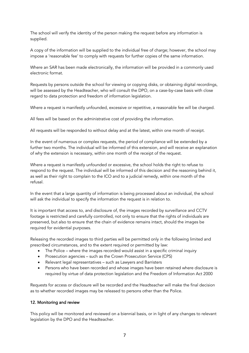The school will verify the identity of the person making the request before any information is supplied.

A copy of the information will be supplied to the individual free of charge; however, the school may impose a 'reasonable fee' to comply with requests for further copies of the same information.

Where an SAR has been made electronically, the information will be provided in a commonly used electronic format.

Requests by persons outside the school for viewing or copying disks, or obtaining digital recordings, will be assessed by the Headteacher, who will consult the DPO, on a case-by-case basis with close regard to data protection and freedom of information legislation.

Where a request is manifestly unfounded, excessive or repetitive, a reasonable fee will be charged.

All fees will be based on the administrative cost of providing the information.

All requests will be responded to without delay and at the latest, within one month of receipt.

In the event of numerous or complex requests, the period of compliance will be extended by a further two months. The individual will be informed of this extension, and will receive an explanation of why the extension is necessary, within one month of the receipt of the request.

Where a request is manifestly unfounded or excessive, the school holds the right to refuse to respond to the request. The individual will be informed of this decision and the reasoning behind it, as well as their right to complain to the ICO and to a judicial remedy, within one month of the refusal.

In the event that a large quantity of information is being processed about an individual, the school will ask the individual to specify the information the request is in relation to.

It is important that access to, and disclosure of, the images recorded by surveillance and CCTV footage is restricted and carefully controlled, not only to ensure that the rights of individuals are preserved, but also to ensure that the chain of evidence remains intact, should the images be required for evidential purposes.

Releasing the recorded images to third parties will be permitted only in the following limited and prescribed circumstances, and to the extent required or permitted by law:

- The Police where the images recorded would assist in a specific criminal inquiry
- Prosecution agencies such as the Crown Prosecution Service (CPS)
- Relevant legal representatives such as Lawyers and Barristers
- Persons who have been recorded and whose images have been retained where disclosure is required by virtue of data protection legislation and the Freedom of Information Act 2000

Requests for access or disclosure will be recorded and the Headteacher will make the final decision as to whether recorded images may be released to persons other than the Police.

#### 12. Monitoring and review

This policy will be monitored and reviewed on a biennial basis, or in light of any changes to relevant legislation by the DPO and the Headteacher.